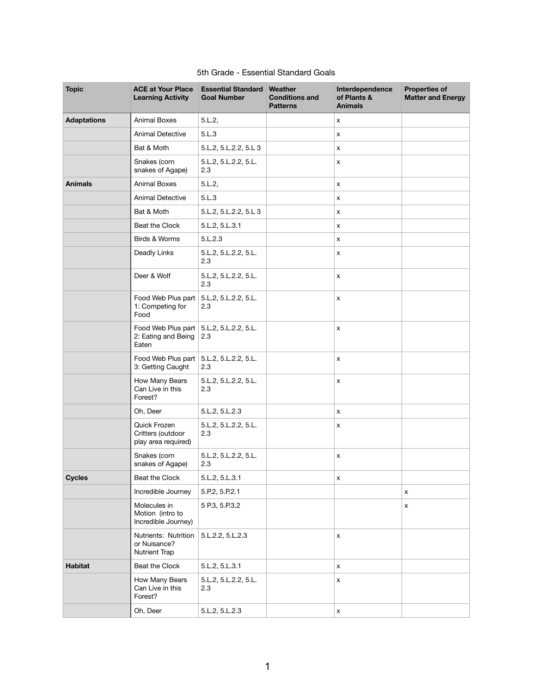| <b>Topic</b>       | <b>ACE at Your Place</b><br><b>Learning Activity</b>                            | <b>Essential Standard Weather</b><br><b>Goal Number</b> | <b>Conditions and</b><br><b>Patterns</b> | Interdependence<br>of Plants &<br><b>Animals</b> | <b>Properties of</b><br><b>Matter and Energy</b> |
|--------------------|---------------------------------------------------------------------------------|---------------------------------------------------------|------------------------------------------|--------------------------------------------------|--------------------------------------------------|
| <b>Adaptations</b> | <b>Animal Boxes</b>                                                             | 5.L.2,                                                  |                                          | X                                                |                                                  |
|                    | <b>Animal Detective</b>                                                         | 5.L.3                                                   |                                          | X                                                |                                                  |
|                    | Bat & Moth                                                                      | 5.L.2, 5.L.2.2, 5.L 3                                   |                                          | $\boldsymbol{\mathsf{x}}$                        |                                                  |
|                    | Snakes (corn<br>snakes of Agape)                                                | 5.L.2, 5.L.2.2, 5.L.<br>2.3                             |                                          | x                                                |                                                  |
| <b>Animals</b>     | <b>Animal Boxes</b>                                                             | 5.L.2,                                                  |                                          | X                                                |                                                  |
|                    | <b>Animal Detective</b>                                                         | 5.L.3                                                   |                                          | $\boldsymbol{\mathsf{x}}$                        |                                                  |
|                    | Bat & Moth                                                                      | 5.L.2, 5.L.2.2, 5.L 3                                   |                                          | x                                                |                                                  |
|                    | Beat the Clock                                                                  | 5.L.2, 5.L.3.1                                          |                                          | X                                                |                                                  |
|                    | Birds & Worms                                                                   | 5.L.2.3                                                 |                                          | $\boldsymbol{\mathsf{x}}$                        |                                                  |
|                    | Deadly Links                                                                    | 5.L.2, 5.L.2.2, 5.L.<br>2.3                             |                                          | X                                                |                                                  |
|                    | Deer & Wolf                                                                     | 5.L.2, 5.L.2.2, 5.L.<br>2.3                             |                                          | $\boldsymbol{\mathsf{X}}$                        |                                                  |
|                    | Food Web Plus part   5.L.2, 5.L.2.2, 5.L.<br>1: Competing for<br>Food           | 2.3                                                     |                                          | $\boldsymbol{\mathsf{X}}$                        |                                                  |
|                    | Food Web Plus part $\vert$ 5.L.2, 5.L.2.2, 5.L.<br>2: Eating and Being<br>Eaten | 2.3                                                     |                                          | X                                                |                                                  |
|                    | Food Web Plus part   5.L.2, 5.L.2.2, 5.L.<br>3: Getting Caught                  | 2.3                                                     |                                          | $\boldsymbol{\mathsf{X}}$                        |                                                  |
|                    | How Many Bears<br>Can Live in this<br>Forest?                                   | 5.L.2, 5.L.2.2, 5.L.<br>2.3                             |                                          | X                                                |                                                  |
|                    | Oh, Deer                                                                        | 5.L.2, 5.L.2.3                                          |                                          | X                                                |                                                  |
|                    | Quick Frozen<br>Critters (outdoor<br>play area required)                        | 5.L.2, 5.L.2.2, 5.L.<br>2.3                             |                                          | X                                                |                                                  |
|                    | Snakes (corn<br>snakes of Agape)                                                | 5.L.2, 5.L.2.2, 5.L.<br>2.3                             |                                          | $\boldsymbol{\mathsf{X}}$                        |                                                  |
| <b>Cycles</b>      | Beat the Clock                                                                  | 5.L.2, 5.L.3.1                                          |                                          | $\pmb{\mathsf{X}}$                               |                                                  |
|                    | Incredible Journey                                                              | 5.P.2, 5.P.2.1                                          |                                          |                                                  | x                                                |
|                    | Molecules in<br>Motion (intro to<br>Incredible Journey)                         | 5 P.3, 5.P.3.2                                          |                                          |                                                  | x                                                |
|                    | Nutrients: Nutrition<br>or Nuisance?<br><b>Nutrient Trap</b>                    | 5.L.2.2, 5.L.2.3                                        |                                          | $\pmb{\mathsf{X}}$                               |                                                  |
| <b>Habitat</b>     | Beat the Clock                                                                  | 5.L.2, 5.L.3.1                                          |                                          | $\boldsymbol{\mathsf{x}}$                        |                                                  |
|                    | How Many Bears<br>Can Live in this<br>Forest?                                   | 5.L.2, 5.L.2.2, 5.L.<br>2.3                             |                                          | X                                                |                                                  |
|                    | Oh, Deer                                                                        | 5.L.2, 5.L.2.3                                          |                                          | $\boldsymbol{\mathsf{x}}$                        |                                                  |

## 5th Grade - Essential Standard Goals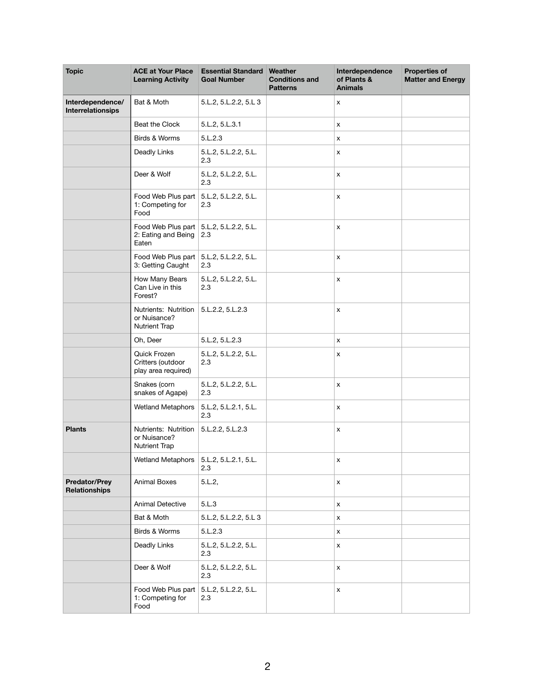| <b>Topic</b>                                 | <b>ACE at Your Place</b><br><b>Learning Activity</b>                      | <b>Essential Standard Weather</b><br><b>Goal Number</b> | <b>Conditions and</b><br><b>Patterns</b> | Interdependence<br>of Plants &<br><b>Animals</b> | <b>Properties of</b><br><b>Matter and Energy</b> |
|----------------------------------------------|---------------------------------------------------------------------------|---------------------------------------------------------|------------------------------------------|--------------------------------------------------|--------------------------------------------------|
| Interdependence/<br>Interrelationsips        | Bat & Moth                                                                | 5.L.2, 5.L.2.2, 5.L 3                                   |                                          | $\boldsymbol{\mathsf{X}}$                        |                                                  |
|                                              | Beat the Clock                                                            | 5.L.2, 5.L.3.1                                          |                                          | $\boldsymbol{\mathsf{X}}$                        |                                                  |
|                                              | Birds & Worms                                                             | 5.L.2.3                                                 |                                          | $\boldsymbol{\mathsf{x}}$                        |                                                  |
|                                              | Deadly Links                                                              | 5.L.2, 5.L.2.2, 5.L.<br>2.3                             |                                          | X                                                |                                                  |
|                                              | Deer & Wolf                                                               | 5.L.2, 5.L.2.2, 5.L.<br>2.3                             |                                          | $\boldsymbol{\mathsf{X}}$                        |                                                  |
|                                              | Food Web Plus part   5.L.2, 5.L.2.2, 5.L.<br>1: Competing for<br>Food     | 2.3                                                     |                                          | $\boldsymbol{\mathsf{X}}$                        |                                                  |
|                                              | Food Web Plus part   5.L.2, 5.L.2.2, 5.L.<br>2: Eating and Being<br>Eaten | 2.3                                                     |                                          | X                                                |                                                  |
|                                              | Food Web Plus part   5.L.2, 5.L.2.2, 5.L.<br>3: Getting Caught            | 2.3                                                     |                                          | $\boldsymbol{\mathsf{X}}$                        |                                                  |
|                                              | How Many Bears<br>Can Live in this<br>Forest?                             | 5.L.2, 5.L.2.2, 5.L.<br>2.3                             |                                          | $\boldsymbol{\mathsf{X}}$                        |                                                  |
|                                              | Nutrients: Nutrition<br>or Nuisance?<br><b>Nutrient Trap</b>              | 5.L.2.2, 5.L.2.3                                        |                                          | X                                                |                                                  |
|                                              | Oh, Deer                                                                  | 5.L.2, 5.L.2.3                                          |                                          | $\boldsymbol{\mathsf{x}}$                        |                                                  |
|                                              | Quick Frozen<br>Critters (outdoor<br>play area required)                  | 5.L.2, 5.L.2.2, 5.L.<br>2.3                             |                                          | X                                                |                                                  |
|                                              | Snakes (corn<br>snakes of Agape)                                          | 5.L.2, 5.L.2.2, 5.L.<br>2.3                             |                                          | $\boldsymbol{\mathsf{X}}$                        |                                                  |
|                                              | <b>Wetland Metaphors</b>                                                  | 5.L.2, 5.L.2.1, 5.L.<br>2.3                             |                                          | $\boldsymbol{\mathsf{X}}$                        |                                                  |
| <b>Plants</b>                                | Nutrients: Nutrition<br>or Nuisance?<br><b>Nutrient Trap</b>              | 5.L.2.2, 5.L.2.3                                        |                                          | X                                                |                                                  |
|                                              | Wetland Metaphors                                                         | 5.L.2, 5.L.2.1, 5.L.<br>2.3                             |                                          | $\boldsymbol{\mathsf{X}}$                        |                                                  |
| <b>Predator/Prey</b><br><b>Relationships</b> | <b>Animal Boxes</b>                                                       | 5.L.2,                                                  |                                          | $\pmb{\mathsf{X}}$                               |                                                  |
|                                              | <b>Animal Detective</b>                                                   | 5.L.3                                                   |                                          | X                                                |                                                  |
|                                              | Bat & Moth                                                                | 5.L.2, 5.L.2.2, 5.L 3                                   |                                          | X                                                |                                                  |
|                                              | Birds & Worms                                                             | 5.L.2.3                                                 |                                          | $\pmb{\mathsf{X}}$                               |                                                  |
|                                              | Deadly Links                                                              | 5.L.2, 5.L.2.2, 5.L.<br>2.3                             |                                          | X                                                |                                                  |
|                                              | Deer & Wolf                                                               | 5.L.2, 5.L.2.2, 5.L.<br>2.3                             |                                          | $\boldsymbol{\mathsf{X}}$                        |                                                  |
|                                              | Food Web Plus part   5.L.2, 5.L.2.2, 5.L.<br>1: Competing for<br>Food     | 2.3                                                     |                                          | $\pmb{\mathsf{X}}$                               |                                                  |